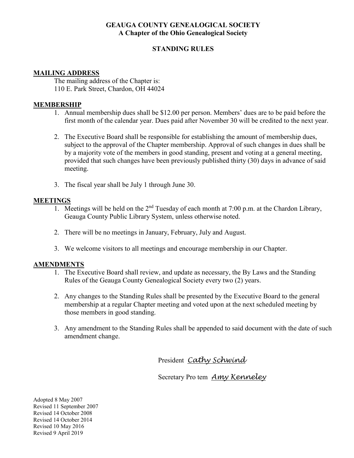# **GEAUGA COUNTY GENEALOGICAL SOCIETY A Chapter of the Ohio Genealogical Society**

# **STANDING RULES**

# **MAILING ADDRESS**

The mailing address of the Chapter is: 110 E. Park Street, Chardon, OH 44024

# **MEMBERSHIP**

- 1. Annual membership dues shall be \$12.00 per person. Members' dues are to be paid before the first month of the calendar year. Dues paid after November 30 will be credited to the next year.
- 2. The Executive Board shall be responsible for establishing the amount of membership dues, subject to the approval of the Chapter membership. Approval of such changes in dues shall be by a majority vote of the members in good standing, present and voting at a general meeting, provided that such changes have been previously published thirty (30) days in advance of said meeting.
- 3. The fiscal year shall be July 1 through June 30.

# **MEETINGS**

- 1. Meetings will be held on the  $2<sup>nd</sup>$  Tuesday of each month at 7:00 p.m. at the Chardon Library, Geauga County Public Library System, unless otherwise noted.
- 2. There will be no meetings in January, February, July and August.
- 3. We welcome visitors to all meetings and encourage membership in our Chapter.

### **AMENDMENTS**

- 1. The Executive Board shall review, and update as necessary, the By Laws and the Standing Rules of the Geauga County Genealogical Society every two (2) years.
- 2. Any changes to the Standing Rules shall be presented by the Executive Board to the general membership at a regular Chapter meeting and voted upon at the next scheduled meeting by those members in good standing.
- 3. Any amendment to the Standing Rules shall be appended to said document with the date of such amendment change.

President *Cathy Schwind*

Secretary Pro tem *Amy Kenneley*

Adopted 8 May 2007 Revised 11 September 2007 Revised 14 October 2008 Revised 14 October 2014 Revised 10 May 2016 Revised 9 April 2019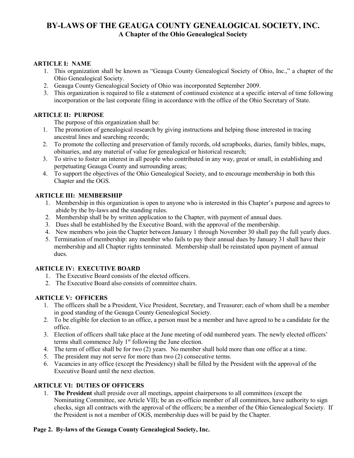# **BY-LAWS OF THE GEAUGA COUNTY GENEALOGICAL SOCIETY, INC. A Chapter of the Ohio Genealogical Society**

# **ARTICLE I: NAME**

- 1. This organization shall be known as "Geauga County Genealogical Society of Ohio, Inc.," a chapter of the Ohio Genealogical Society.
- 2. Geauga County Genealogical Society of Ohio was incorporated September 2009.
- 3. This organization is required to file a statement of continued existence at a specific interval of time following incorporation or the last corporate filing in accordance with the office of the Ohio Secretary of State.

### **ARTICLE II: PURPOSE**

The purpose of this organization shall be:

- 1. The promotion of genealogical research by giving instructions and helping those interested in tracing ancestral lines and searching records;
- 2. To promote the collecting and preservation of family records, old scrapbooks, diaries, family bibles, maps, obituaries, and any material of value for genealogical or historical research;
- 3. To strive to foster an interest in all people who contributed in any way, great or small, in establishing and perpetuating Geauga County and surrounding areas;
- 4. To support the objectives of the Ohio Genealogical Society, and to encourage membership in both this Chapter and the OGS.

# **ARTICLE III: MEMBERSHIP**

- 1. Membership in this organization is open to anyone who is interested in this Chapter's purpose and agrees to abide by the by-laws and the standing rules.
- 2. Membership shall be by written application to the Chapter, with payment of annual dues.
- 3. Dues shall be established by the Executive Board, with the approval of the membership.
- 4. New members who join the Chapter between January 1 through November 30 shall pay the full yearly dues.
- 5. Termination of membership: any member who fails to pay their annual dues by January 31 shall have their membership and all Chapter rights terminated. Membership shall be reinstated upon payment of annual dues.

### **ARTICLE IV: EXECUTIVE BOARD**

- 1. The Executive Board consists of the elected officers.
- 2. The Executive Board also consists of committee chairs.

### **ARTICLE V: OFFICERS**

- 1. The officers shall be a President, Vice President, Secretary, and Treasurer; each of whom shall be a member in good standing of the Geauga County Genealogical Society.
- 2. To be eligible for election to an office, a person must be a member and have agreed to be a candidate for the office.
- 3. Election of officers shall take place at the June meeting of odd numbered years. The newly elected officers' terms shall commence July  $1<sup>st</sup>$  following the June election.
- 4. The term of office shall be for two (2) years. No member shall hold more than one office at a time.
- 5. The president may not serve for more than two (2) consecutive terms.
- 6. Vacancies in any office (except the Presidency) shall be filled by the President with the approval of the Executive Board until the next election.

### **ARTICLE VI: DUTIES OF OFFICERS**

1. **The President** shall preside over all meetings, appoint chairpersons to all committees (except the Nominating Committee, see Article VII); be an ex-officio member of all committees, have authority to sign checks, sign all contracts with the approval of the officers; be a member of the Ohio Genealogical Society. If the President is not a member of OGS, membership dues will be paid by the Chapter.

#### **Page 2. By-laws of the Geauga County Genealogical Society, Inc.**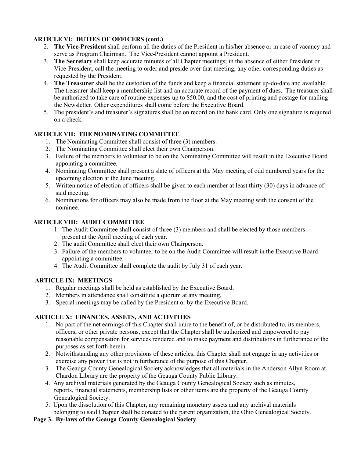# **ARTICLE VI: DUTIES OF OFFICERS (cont.)**

- 2. **The Vice-President** shall perform all the duties of the President in his/her absence or in case of vacancy and serve as Program Chairman. The Vice-President cannot appoint a President.
- 3. **The Secretary** shall keep accurate minutes of all Chapter meetings; in the absence of either President or Vice-President, call the meeting to order and preside over that meeting; any other corresponding duties as requested by the President.
- 4. **The Treasurer** shall be the custodian of the funds and keep a financial statement up-do-date and available. The treasurer shall keep a membership list and an accurate record of the payment of dues. The treasurer shall be authorized to take care of routine expenses up to \$50.00, and the cost of printing and postage for mailing the Newsletter. Other expenditures shall come before the Executive Board.
- 5. The president's and treasurer's signatures shall be on record on the bank card. Only one signature is required on a check.

# **ARTICLE VII: THE NOMINATING COMMITTEE**

- 1. The Nominating Committee shall consist of three (3) members.
- 2. The Nominating Committee shall elect their own Chairperson.
- 3. Failure of the members to volunteer to be on the Nominating Committee will result in the Executive Board appointing a committee.
- 4. Nominating Committee shall present a slate of officers at the May meeting of odd numbered years for the upcoming election at the June meeting.
- 5. Written notice of election of officers shall be given to each member at least thirty (30) days in advance of said meeting.
- 6. Nominations for officers may also be made from the floor at the May meeting with the consent of the nominee.

### **ARTICLE VIII: AUDIT COMMITTEE**

- 1. The Audit Committee shall consist of three (3) members and shall be elected by those members present at the April meeting of each year.
- 2. The audit Committee shall elect their own Chairperson.
- 3. Failure of the members to volunteer to be on the Audit Committee will result in the Executive Board appointing a committee.
- 4. The Audit Committee shall complete the audit by July 31 of each year.

### **ARTICLE IX: MEETINGS**

- 1. Regular meetings shall be held as established by the Executive Board.
- 2. Members in attendance shall constitute a quorum at any meeting.
- 3. Special meetings may be called by the President or by the Executive Board.

### **ARTICLE X: FINANCES, ASSETS, AND ACTIVITIES**

- 1. No part of the net earnings of this Chapter shall inure to the benefit of, or be distributed to, its members, officers, or other private persons, except that the Chapter shall be authorized and empowered to pay reasonable compensation for services rendered and to make payment and distributions in furtherance of the purposes as set forth herein.
- 2. Notwithstanding any other provisions of these articles, this Chapter shall not engage in any activities or exercise any power that is not in furtherance of the purpose of this Chapter.
- 3. The Geauga County Genealogical Society acknowledges that all materials in the Anderson Allyn Room at Chardon Library are the property of the Geauga County Public Library.
- 4. Any archival materials generated by the Geauga County Genealogical Society such as minutes, reports, financial statements, membership lists or other items are the property of the Geauga County Genealogical Society.
- 5. Upon the dissolution of this Chapter, any remaining monetary assets and any archival materials belonging to said Chapter shall be donated to the parent organization, the Ohio Genealogical Society.

#### **Page 3. By-laws of the Geauga County Genealogical Society**